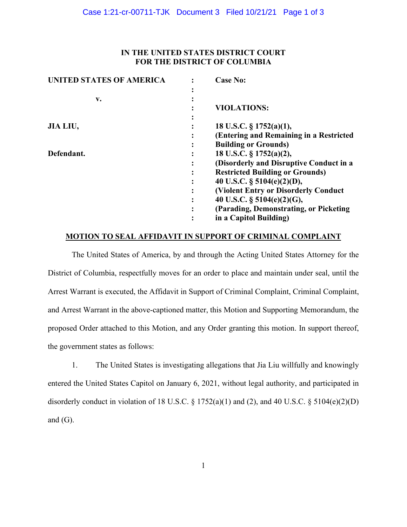# **IN THE UNITED STATES DISTRICT COURT FOR THE DISTRICT OF COLUMBIA**

| <b>UNITED STATES OF AMERICA</b> |   | <b>Case No:</b>                              |
|---------------------------------|---|----------------------------------------------|
|                                 |   |                                              |
| v.                              |   |                                              |
|                                 |   | <b>VIOLATIONS:</b>                           |
|                                 |   |                                              |
| JIA LIU,                        |   | 18 U.S.C. $\S 1752(a)(1)$ ,                  |
|                                 |   | (Entering and Remaining in a Restricted      |
|                                 |   | <b>Building or Grounds)</b>                  |
| Defendant.                      |   | 18 U.S.C. § 1752(a)(2),                      |
|                                 |   | (Disorderly and Disruptive Conduct in a      |
|                                 |   | <b>Restricted Building or Grounds)</b>       |
|                                 |   | 40 U.S.C. $\S$ 5104(e)(2)(D),                |
|                                 | ٠ | <b>(Violent Entry or Disorderly Conduct)</b> |
|                                 |   | 40 U.S.C. $\S$ 5104(e)(2)(G),                |
|                                 |   | (Parading, Demonstrating, or Picketing)      |
|                                 |   | in a Capitol Building)                       |
|                                 |   |                                              |

## **MOTION TO SEAL AFFIDAVIT IN SUPPORT OF CRIMINAL COMPLAINT**

The United States of America, by and through the Acting United States Attorney for the District of Columbia, respectfully moves for an order to place and maintain under seal, until the Arrest Warrant is executed, the Affidavit in Support of Criminal Complaint, Criminal Complaint, and Arrest Warrant in the above-captioned matter, this Motion and Supporting Memorandum, the proposed Order attached to this Motion, and any Order granting this motion. In support thereof, the government states as follows:

1. The United States is investigating allegations that Jia Liu willfully and knowingly entered the United States Capitol on January 6, 2021, without legal authority, and participated in disorderly conduct in violation of 18 U.S.C.  $\S 1752(a)(1)$  and (2), and 40 U.S.C.  $\S 5104(e)(2)(D)$ and  $(G)$ .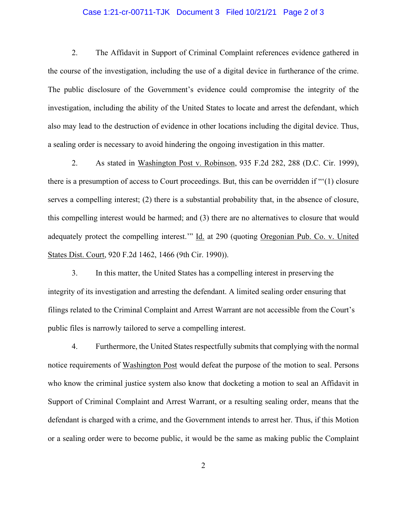## Case 1:21-cr-00711-TJK Document 3 Filed 10/21/21 Page 2 of 3

2. The Affidavit in Support of Criminal Complaint references evidence gathered in the course of the investigation, including the use of a digital device in furtherance of the crime. The public disclosure of the Government's evidence could compromise the integrity of the investigation, including the ability of the United States to locate and arrest the defendant, which also may lead to the destruction of evidence in other locations including the digital device. Thus, a sealing order is necessary to avoid hindering the ongoing investigation in this matter.

2. As stated in Washington Post v. Robinson, 935 F.2d 282, 288 (D.C. Cir. 1999), there is a presumption of access to Court proceedings. But, this can be overridden if "'(1) closure serves a compelling interest; (2) there is a substantial probability that, in the absence of closure, this compelling interest would be harmed; and (3) there are no alternatives to closure that would adequately protect the compelling interest.'" Id. at 290 (quoting Oregonian Pub. Co. v. United States Dist. Court, 920 F.2d 1462, 1466 (9th Cir. 1990)).

3. In this matter, the United States has a compelling interest in preserving the integrity of its investigation and arresting the defendant. A limited sealing order ensuring that filings related to the Criminal Complaint and Arrest Warrant are not accessible from the Court's public files is narrowly tailored to serve a compelling interest.

4. Furthermore, the United States respectfully submits that complying with the normal notice requirements of Washington Post would defeat the purpose of the motion to seal. Persons who know the criminal justice system also know that docketing a motion to seal an Affidavit in Support of Criminal Complaint and Arrest Warrant, or a resulting sealing order, means that the defendant is charged with a crime, and the Government intends to arrest her. Thus, if this Motion or a sealing order were to become public, it would be the same as making public the Complaint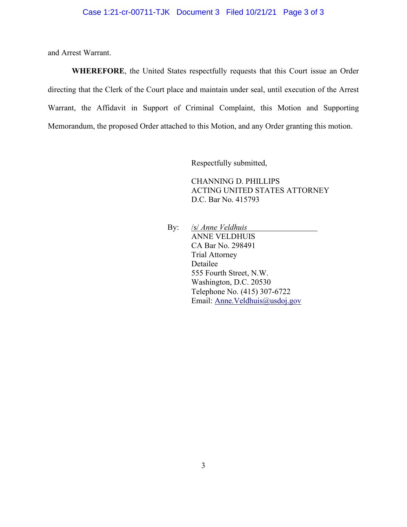and Arrest Warrant.

**WHEREFORE**, the United States respectfully requests that this Court issue an Order directing that the Clerk of the Court place and maintain under seal, until execution of the Arrest Warrant, the Affidavit in Support of Criminal Complaint, this Motion and Supporting Memorandum, the proposed Order attached to this Motion, and any Order granting this motion.

Respectfully submitted,

CHANNING D. PHILLIPS ACTING UNITED STATES ATTORNEY D.C. Bar No. 415793

By: /s/ *Anne Veldhuis*  ANNE VELDHUIS CA Bar No. 298491 Trial Attorney Detailee 555 Fourth Street, N.W. Washington, D.C. 20530 Telephone No. (415) 307-6722 Email: Anne.Veldhuis@usdoj.gov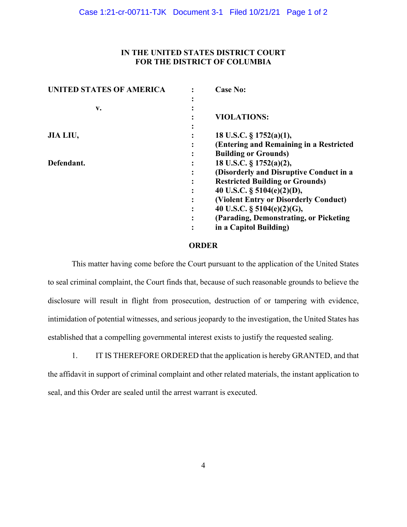# **IN THE UNITED STATES DISTRICT COURT FOR THE DISTRICT OF COLUMBIA**

| <b>UNITED STATES OF AMERICA</b> | <b>Case No:</b>                         |
|---------------------------------|-----------------------------------------|
|                                 |                                         |
| v.                              |                                         |
|                                 | <b>VIOLATIONS:</b>                      |
|                                 |                                         |
| JIA LIU,                        | 18 U.S.C. $\S$ 1752(a)(1),              |
|                                 | (Entering and Remaining in a Restricted |
|                                 | <b>Building or Grounds)</b>             |
| Defendant.                      | 18 U.S.C. § 1752(a)(2),                 |
|                                 | (Disorderly and Disruptive Conduct in a |
|                                 | <b>Restricted Building or Grounds)</b>  |
|                                 | 40 U.S.C. $\S$ 5104(e)(2)(D),           |
|                                 | (Violent Entry or Disorderly Conduct)   |
|                                 | 40 U.S.C. § 5104(e)(2)(G),              |
|                                 | (Parading, Demonstrating, or Picketing) |
|                                 | in a Capitol Building)                  |

## **ORDER**

This matter having come before the Court pursuant to the application of the United States to seal criminal complaint, the Court finds that, because of such reasonable grounds to believe the disclosure will result in flight from prosecution, destruction of or tampering with evidence, intimidation of potential witnesses, and serious jeopardy to the investigation, the United States has established that a compelling governmental interest exists to justify the requested sealing.

1. IT IS THEREFORE ORDERED that the application is hereby GRANTED, and that the affidavit in support of criminal complaint and other related materials, the instant application to seal, and this Order are sealed until the arrest warrant is executed.